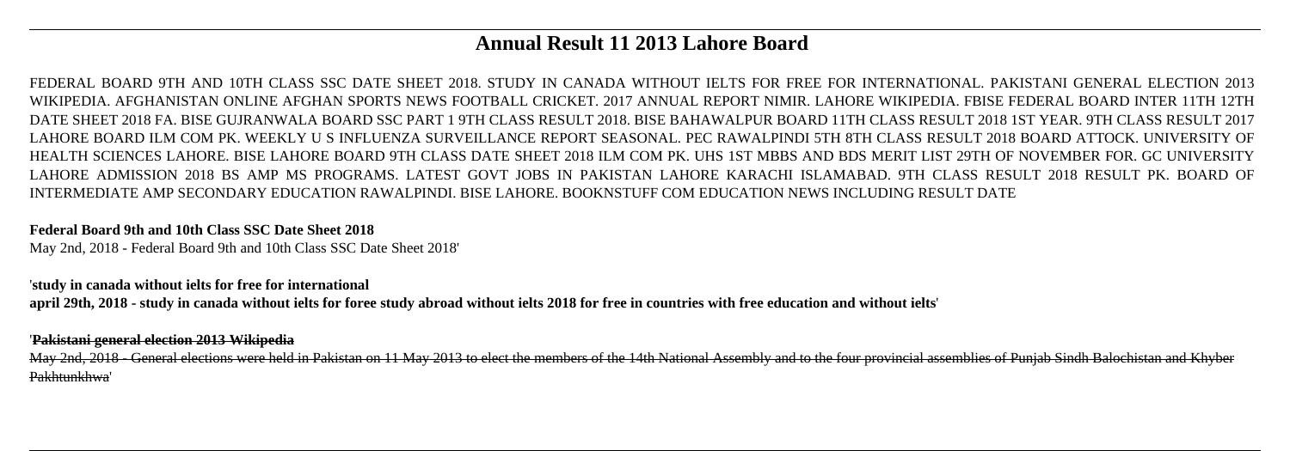# **Annual Result 11 2013 Lahore Board**

FEDERAL BOARD 9TH AND 10TH CLASS SSC DATE SHEET 2018. STUDY IN CANADA WITHOUT IELTS FOR FREE FOR INTERNATIONAL. PAKISTANI GENERAL ELECTION 2013 WIKIPEDIA. AFGHANISTAN ONLINE AFGHAN SPORTS NEWS FOOTBALL CRICKET. 2017 ANNUAL REPORT NIMIR. LAHORE WIKIPEDIA. FBISE FEDERAL BOARD INTER 11TH 12TH DATE SHEET 2018 FA. BISE GUJRANWALA BOARD SSC PART 1 9TH CLASS RESULT 2018. BISE BAHAWALPUR BOARD 11TH CLASS RESULT 2018 1ST YEAR. 9TH CLASS RESULT 2017 LAHORE BOARD ILM COM PK. WEEKLY U S INFLUENZA SURVEILLANCE REPORT SEASONAL. PEC RAWALPINDI 5TH 8TH CLASS RESULT 2018 BOARD ATTOCK. UNIVERSITY OF HEALTH SCIENCES LAHORE. BISE LAHORE BOARD 9TH CLASS DATE SHEET 2018 ILM COM PK. UHS 1ST MBBS AND BDS MERIT LIST 29TH OF NOVEMBER FOR. GC UNIVERSITY LAHORE ADMISSION 2018 BS AMP MS PROGRAMS. LATEST GOVT JOBS IN PAKISTAN LAHORE KARACHI ISLAMABAD. 9TH CLASS RESULT 2018 RESULT PK. BOARD OF INTERMEDIATE AMP SECONDARY EDUCATION RAWALPINDI. BISE LAHORE. BOOKNSTUFF COM EDUCATION NEWS INCLUDING RESULT DATE

#### **Federal Board 9th and 10th Class SSC Date Sheet 2018**

May 2nd, 2018 - Federal Board 9th and 10th Class SSC Date Sheet 2018'

#### '**study in canada without ielts for free for international**

**april 29th, 2018 - study in canada without ielts for foree study abroad without ielts 2018 for free in countries with free education and without ielts**'

#### '**Pakistani general election 2013 Wikipedia**

May 2nd, 2018 - General elections were held in Pakistan on 11 May 2013 to elect the members of the 14th National Assembly and to the four provincial assemblies of Punjab Sindh Balochistan and Khyber Pakhtunkhwa'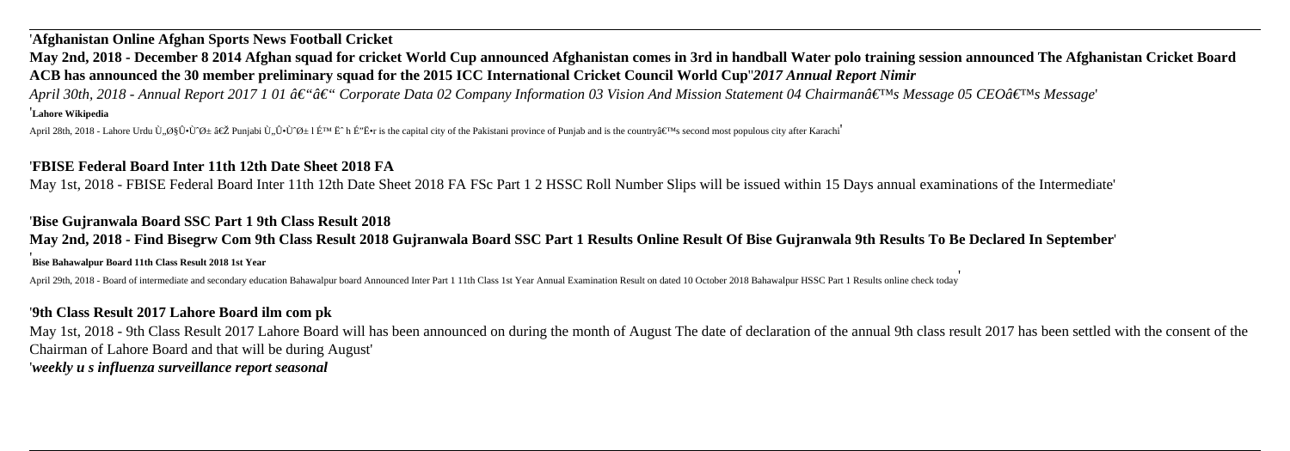### '**Afghanistan Online Afghan Sports News Football Cricket**

**May 2nd, 2018 - December 8 2014 Afghan squad for cricket World Cup announced Afghanistan comes in 3rd in handball Water polo training session announced The Afghanistan Cricket Board ACB has announced the 30 member preliminary squad for the 2015 ICC International Cricket Council World Cup**''*2017 Annual Report Nimir April 30th, 2018 - Annual Report 2017 1 01 â€* "â€" Corporate Data 02 Company Information 03 Vision And Mission Statement 04 Chairman's Message 05 CEO's Message' '**Lahore Wikipedia**

April 28th, 2018 - Lahore Urdu  $\tilde{U}, \mathcal{O}\mathcal{S}\hat{U} \cdot \hat{U} \mathcal{O} \pm \hat{E} \tilde{Z}$  Punjabi  $\tilde{U}, \hat{U} \cdot \hat{U} \cdot \hat{U} \cdot \hat{U} \cdot \hat{Z} \pm \hat{E} \cdot \hat{H}$  is the capital city of the Pakistani province of Punjab and is the country

#### '**FBISE Federal Board Inter 11th 12th Date Sheet 2018 FA**

May 1st, 2018 - FBISE Federal Board Inter 11th 12th Date Sheet 2018 FA FSc Part 1 2 HSSC Roll Number Slips will be issued within 15 Days annual examinations of the Intermediate'

### '**Bise Gujranwala Board SSC Part 1 9th Class Result 2018**

# **May 2nd, 2018 - Find Bisegrw Com 9th Class Result 2018 Gujranwala Board SSC Part 1 Results Online Result Of Bise Gujranwala 9th Results To Be Declared In September**'

#### '**Bise Bahawalpur Board 11th Class Result 2018 1st Year**

April 29th, 2018 - Board of intermediate and secondary education Bahawalpur board Announced Inter Part 1 11th Class 1st Year Annual Examination Result on dated 10 October 2018 Bahawalpur HSSC Part 1 Results online check to

#### '**9th Class Result 2017 Lahore Board ilm com pk**

May 1st, 2018 - 9th Class Result 2017 Lahore Board will has been announced on during the month of August The date of declaration of the annual 9th class result 2017 has been settled with the consent of the Chairman of Lahore Board and that will be during August' '*weekly u s influenza surveillance report seasonal*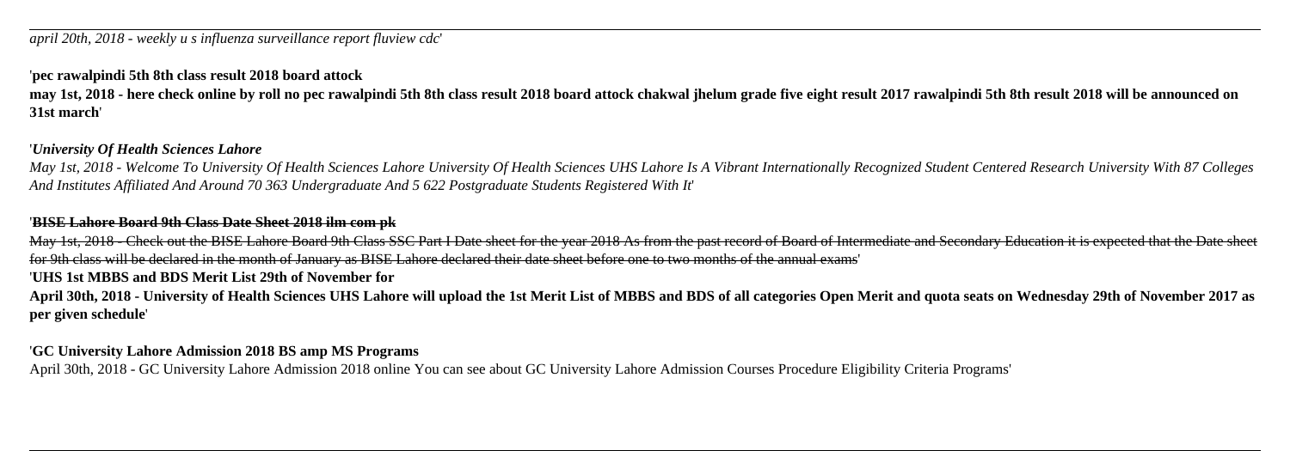### '**pec rawalpindi 5th 8th class result 2018 board attock**

**may 1st, 2018 - here check online by roll no pec rawalpindi 5th 8th class result 2018 board attock chakwal jhelum grade five eight result 2017 rawalpindi 5th 8th result 2018 will be announced on 31st march**'

#### '*University Of Health Sciences Lahore*

*May 1st, 2018 - Welcome To University Of Health Sciences Lahore University Of Health Sciences UHS Lahore Is A Vibrant Internationally Recognized Student Centered Research University With 87 Colleges And Institutes Affiliated And Around 70 363 Undergraduate And 5 622 Postgraduate Students Registered With It*'

#### '**BISE Lahore Board 9th Class Date Sheet 2018 ilm com pk**

May 1st, 2018 - Check out the BISE Lahore Board 9th Class SSC Part I Date sheet for the year 2018 As from the past record of Board of Intermediate and Secondary Education it is expected that the Date sheet for 9th class will be declared in the month of January as BISE Lahore declared their date sheet before one to two months of the annual exams'

### '**UHS 1st MBBS and BDS Merit List 29th of November for**

**April 30th, 2018 - University of Health Sciences UHS Lahore will upload the 1st Merit List of MBBS and BDS of all categories Open Merit and quota seats on Wednesday 29th of November 2017 as per given schedule**'

#### '**GC University Lahore Admission 2018 BS amp MS Programs**

April 30th, 2018 - GC University Lahore Admission 2018 online You can see about GC University Lahore Admission Courses Procedure Eligibility Criteria Programs'